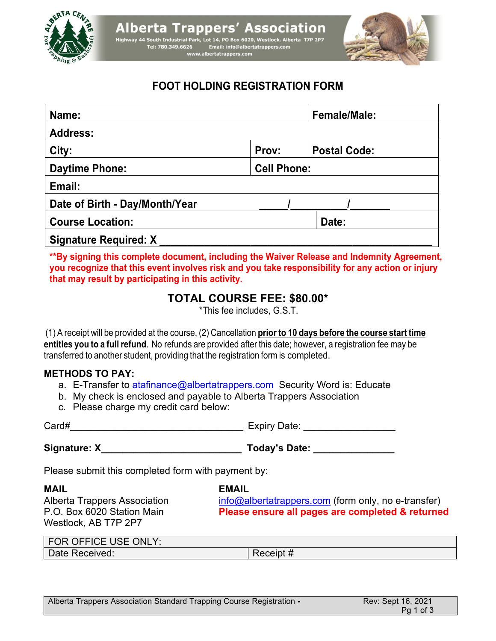



# **FOOT HOLDING REGISTRATION FORM**

| Name:                          |                    | <b>Female/Male:</b> |  |
|--------------------------------|--------------------|---------------------|--|
| <b>Address:</b>                |                    |                     |  |
| City:                          | Prov:              | <b>Postal Code:</b> |  |
| <b>Daytime Phone:</b>          | <b>Cell Phone:</b> |                     |  |
| Email:                         |                    |                     |  |
| Date of Birth - Day/Month/Year |                    |                     |  |
| <b>Course Location:</b>        |                    | Date:               |  |
| <b>Signature Required: X</b>   |                    |                     |  |

**\*\*By signing this complete document, including the Waiver Release and Indemnity Agreement, you recognize that this event involves risk and you take responsibility for any action or injury that may result by participating in this activity.**

# **TOTAL COURSE FEE: \$80.00\***

\*This fee includes, G.S.T.

(1) A receipt will be provided at the course, (2) Cancellation **prior to 10 days before the course start time entitles you to a full refund**. No refunds are provided after this date; however, a registration fee may be transferred to another student, providing that the registration form is completed.

## **METHODS TO PAY:**

- a. E-Transfer to atafinance@albertatrappers.com Security Word is: Educate
- b. My check is enclosed and payable to Alberta Trappers Association
- c. Please charge my credit card below:

Card#\_\_\_\_\_\_\_\_\_\_\_\_\_\_\_\_\_\_\_\_\_\_\_\_\_\_\_\_\_\_\_\_ Expiry Date: \_\_\_\_\_\_\_\_\_\_\_\_\_\_\_\_\_

Westlock, AB T7P 2P7

**Signature: X\_\_\_\_\_\_\_\_\_\_\_\_\_\_\_\_\_\_\_\_\_\_\_\_\_\_ Today's Date: \_\_\_\_\_\_\_\_\_\_\_\_\_\_\_**

Please submit this completed form with payment by:

**MAIL EMAIL**

Alberta Trappers Association info@albertatrappers.com (form only, no e-transfer) P.O. Box 6020 Station Main **Please ensure all pages are completed & returned**

| FOR OFFICE USE ONLY: |             |
|----------------------|-------------|
| Date Received:       | Receipt $#$ |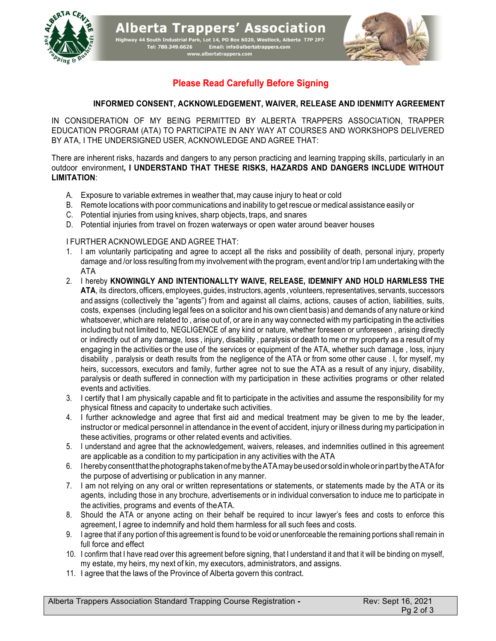

**Alberta Trappers' Association** Highway 44 South Industrial Park, Lot 14, PO Box 6020, Westlock, Alberta T7P 2P7<br>Tel: 780.349.6626 Email: info@albertatrappers.com<br>www.albertatrappers.com<br>www.albertatrappers.com



## **Please Read Carefully Before Signing**

#### **INFORMED CONSENT, ACKNOWLEDGEMENT, WAIVER, RELEASE AND IDENMITY AGREEMENT**

IN CONSIDERATION OF MY BEING PERMITTED BY ALBERTA TRAPPERS ASSOCIATION, TRAPPER EDUCATION PROGRAM (ATA) TO PARTICIPATE IN ANY WAY AT COURSES AND WORKSHOPS DELIVERED BY ATA, I THE UNDERSIGNED USER, ACKNOWLEDGE AND AGREE THAT:

There are inherent risks, hazards and dangers to any person practicing and learning trapping skills, particularly in an outdoor environment**, I UNDERSTAND THAT THESE RISKS, HAZARDS AND DANGERS INCLUDE WITHOUT LIMITATION**:

- A. Exposure to variable extremes in weather that, may cause injury to heat or cold
- B. Remote locations with poor communications and inability to get rescue or medical assistance easily or
- C. Potential injuries from using knives, sharp objects, traps, and snares
- D. Potential injuries from travel on frozen waterways or open water around beaver houses

#### I FURTHER ACKNOWLEDGE AND AGREE THAT:

- 1. I am voluntarily participating and agree to accept all the risks and possibility of death, personal injury, property damage and /or loss resulting from my involvement with the program, event and/or trip I am undertaking with the ATA
- 2. I hereby **KNOWINGLY AND INTENTIONALLTY WAIVE, RELEASE, IDEMNIFY AND HOLD HARMLESS THE ATA**, its directors,officers,employees,guides,instructors,agents , volunteers,representatives, servants, successors and assigns (collectively the "agents") from and against all claims, actions, causes of action, liabilities, suits, costs, expenses (including legal fees on a solicitor and his own client basis) and demands of any nature or kind whatsoever, which are related to , arise out of, or are in any way connected with my participating in the activities including but not limited to, NEGLIGENCE of any kind or nature, whether foreseen or unforeseen , arising directly or indirectly out of any damage, loss , injury, disability , paralysis or death to me or my property as a result of my engaging in the activities or the use of the services or equipment of the ATA, whether such damage , loss, injury disability , paralysis or death results from the negligence of the ATA or from some other cause . I, for myself, my heirs, successors, executors and family, further agree not to sue the ATA as a result of any injury, disability, paralysis or death suffered in connection with my participation in these activities programs or other related events and activities.
- 3. I certify that I am physically capable and fit to participate in the activities and assume the responsibility for my physical fitness and capacity to undertake such activities.
- 4. I further acknowledge and agree that first aid and medical treatment may be given to me by the leader, instructor or medical personnel in attendance in the event of accident, injury or illness during my participation in these activities, programs or other related events and activities.
- 5. I understand and agree that the acknowledgement, waivers, releases, and indemnities outlined in this agreement are applicable as a condition to my participation in any activities with the ATA
- 6. IherebyconsentthatthephotographstakenofmebytheATAmaybeusedorsoldinwholeorinpartbytheATAfor the purpose of advertising or publication in any manner.
- 7. I am not relying on any oral or written representations or statements, or statements made by the ATA or its agents, including those in any brochure, advertisements or in individual conversation to induce me to participate in the activities, programs and events of theATA.
- 8. Should the ATA or anyone acting on their behalf be required to incur lawyer's fees and costs to enforce this agreement, I agree to indemnify and hold them harmless for all such fees and costs.
- 9. I agree that if any portion of this agreement is found to be void or unenforceable the remaining portions shall remain in full force and effect
- 10. I confirm that I have read over this agreement before signing, that I understand it and that it will be binding on myself, my estate, my heirs, my next of kin, my executors, administrators, and assigns.
- 11. I agree that the laws of the Province of Alberta govern this contract.